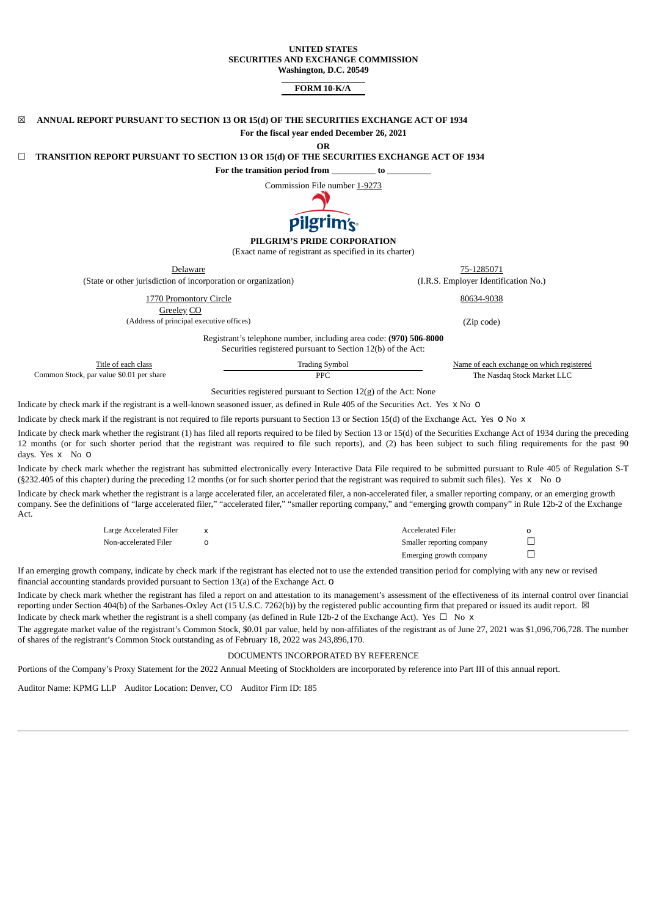#### **UNITED STATES SECURITIES AND EXCHANGE COMMISSION Washington, D.C. 20549**

### **FORM 10-K/A**

| 冈                                        | ANNUAL REPORT PURSUANT TO SECTION 13 OR 15(d) OF THE SECURITIES EXCHANGE ACT OF 1934     |                                                                                                                                   |            |                                           |  |
|------------------------------------------|------------------------------------------------------------------------------------------|-----------------------------------------------------------------------------------------------------------------------------------|------------|-------------------------------------------|--|
|                                          |                                                                                          | For the fiscal year ended December 26, 2021                                                                                       |            |                                           |  |
|                                          | TRANSITION REPORT PURSUANT TO SECTION 13 OR 15(d) OF THE SECURITIES EXCHANGE ACT OF 1934 | <b>OR</b>                                                                                                                         |            |                                           |  |
|                                          |                                                                                          | For the transition period from to to                                                                                              |            |                                           |  |
|                                          |                                                                                          | Commission File number 1-9273                                                                                                     |            |                                           |  |
|                                          |                                                                                          | pilgrim's                                                                                                                         |            |                                           |  |
|                                          | PILGRIM'S PRIDE CORPORATION<br>(Exact name of registrant as specified in its charter)    |                                                                                                                                   |            |                                           |  |
|                                          | Delaware                                                                                 |                                                                                                                                   |            | 75-1285071                                |  |
|                                          | (State or other jurisdiction of incorporation or organization)                           |                                                                                                                                   |            | (I.R.S. Employer Identification No.)      |  |
|                                          | 1770 Promontory Circle<br>Greeley CO                                                     |                                                                                                                                   |            | 80634-9038                                |  |
| (Address of principal executive offices) |                                                                                          |                                                                                                                                   | (Zip code) |                                           |  |
|                                          |                                                                                          | Registrant's telephone number, including area code: (970) 506-8000<br>Securities registered pursuant to Section 12(b) of the Act: |            |                                           |  |
|                                          | Title of each class                                                                      | <b>Trading Symbol</b>                                                                                                             |            | Name of each exchange on which registered |  |
|                                          | Common Stock, par value \$0.01 per share                                                 | <b>PPC</b>                                                                                                                        |            | The Nasdaq Stock Market LLC               |  |

Securities registered pursuant to Section 12(g) of the Act: None

Indicate by check mark if the registrant is a well-known seasoned issuer, as defined in Rule 405 of the Securities Act. Yes x No o

Indicate by check mark if the registrant is not required to file reports pursuant to Section 13 or Section 15(d) of the Exchange Act. Yes o No x

Indicate by check mark whether the registrant (1) has filed all reports required to be filed by Section 13 or 15(d) of the Securities Exchange Act of 1934 during the preceding 12 months (or for such shorter period that the registrant was required to file such reports), and (2) has been subject to such filing requirements for the past 90 days. Yes x No o

Indicate by check mark whether the registrant has submitted electronically every Interactive Data File required to be submitted pursuant to Rule 405 of Regulation S-T (§232.405 of this chapter) during the preceding 12 months (or for such shorter period that the registrant was required to submit such files). Yes x No o

Indicate by check mark whether the registrant is a large accelerated filer, an accelerated filer, a non-accelerated filer, a smaller reporting company, or an emerging growth company. See the definitions of "large accelerated filer," "accelerated filer," "smaller reporting company," and "emerging growth company" in Rule 12b-2 of the Exchange Act.

| Large Accelerated Filer | Accelerated Filer         |  |
|-------------------------|---------------------------|--|
| Non-accelerated Filer   | Smaller reporting company |  |
|                         | Emerging growth company   |  |

If an emerging growth company, indicate by check mark if the registrant has elected not to use the extended transition period for complying with any new or revised financial accounting standards provided pursuant to Section 13(a) of the Exchange Act. o

Indicate by check mark whether the registrant has filed a report on and attestation to its management's assessment of the effectiveness of its internal control over financial reporting under Section 404(b) of the Sarbanes-Oxley Act (15 U.S.C. 7262(b)) by the registered public accounting firm that prepared or issued its audit report.  $\boxtimes$ Indicate by check mark whether the registrant is a shell company (as defined in Rule 12b-2 of the Exchange Act). Yes  $\Box$  No x

The aggregate market value of the registrant's Common Stock, \$0.01 par value, held by non-affiliates of the registrant as of June 27, 2021 was \$1,096,706,728. The number of shares of the registrant's Common Stock outstanding as of February 18, 2022 was 243,896,170.

### DOCUMENTS INCORPORATED BY REFERENCE

Portions of the Company's Proxy Statement for the 2022 Annual Meeting of Stockholders are incorporated by reference into Part III of this annual report.

Auditor Name: KPMG LLP Auditor Location: Denver, CO Auditor Firm ID: 185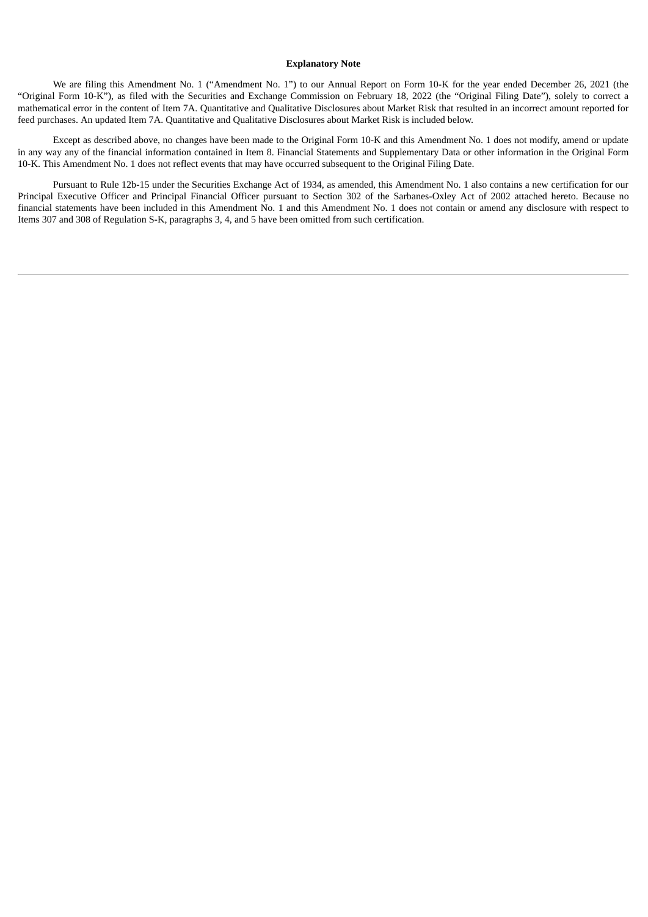### **Explanatory Note**

We are filing this Amendment No. 1 ("Amendment No. 1") to our Annual Report on Form 10-K for the year ended December 26, 2021 (the "Original Form 10-K"), as filed with the Securities and Exchange Commission on February 18, 2022 (the "Original Filing Date"), solely to correct a mathematical error in the content of Item 7A. Quantitative and Qualitative Disclosures about Market Risk that resulted in an incorrect amount reported for feed purchases. An updated Item 7A. Quantitative and Qualitative Disclosures about Market Risk is included below.

Except as described above, no changes have been made to the Original Form 10-K and this Amendment No. 1 does not modify, amend or update in any way any of the financial information contained in Item 8. Financial Statements and Supplementary Data or other information in the Original Form 10-K. This Amendment No. 1 does not reflect events that may have occurred subsequent to the Original Filing Date.

Pursuant to Rule 12b-15 under the Securities Exchange Act of 1934, as amended, this Amendment No. 1 also contains a new certification for our Principal Executive Officer and Principal Financial Officer pursuant to Section 302 of the Sarbanes-Oxley Act of 2002 attached hereto. Because no financial statements have been included in this Amendment No. 1 and this Amendment No. 1 does not contain or amend any disclosure with respect to Items 307 and 308 of Regulation S-K, paragraphs 3, 4, and 5 have been omitted from such certification.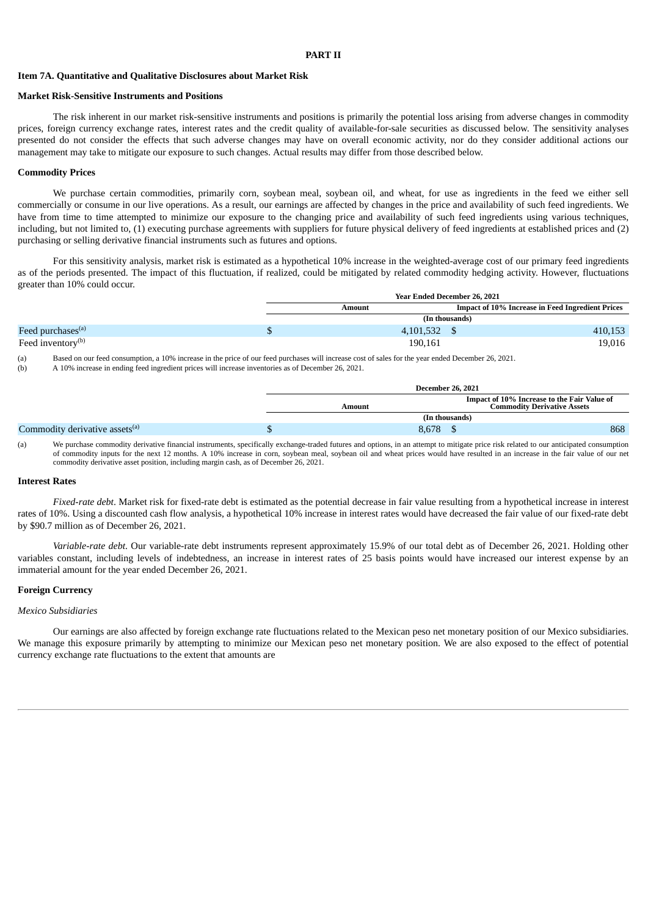### **PART II**

### **Item 7A. Quantitative and Qualitative Disclosures about Market Risk**

#### **Market Risk-Sensitive Instruments and Positions**

The risk inherent in our market risk-sensitive instruments and positions is primarily the potential loss arising from adverse changes in commodity prices, foreign currency exchange rates, interest rates and the credit quality of available-for-sale securities as discussed below. The sensitivity analyses presented do not consider the effects that such adverse changes may have on overall economic activity, nor do they consider additional actions our management may take to mitigate our exposure to such changes. Actual results may differ from those described below.

#### **Commodity Prices**

We purchase certain commodities, primarily corn, soybean meal, soybean oil, and wheat, for use as ingredients in the feed we either sell commercially or consume in our live operations. As a result, our earnings are affected by changes in the price and availability of such feed ingredients. We have from time to time attempted to minimize our exposure to the changing price and availability of such feed ingredients using various techniques, including, but not limited to, (1) executing purchase agreements with suppliers for future physical delivery of feed ingredients at established prices and (2) purchasing or selling derivative financial instruments such as futures and options.

For this sensitivity analysis, market risk is estimated as a hypothetical 10% increase in the weighted-average cost of our primary feed ingredients as of the periods presented. The impact of this fluctuation, if realized, could be mitigated by related commodity hedging activity. However, fluctuations greater than 10% could occur.

|                               | <b>Year Ended December 26, 2021</b> |                |                                                  |
|-------------------------------|-------------------------------------|----------------|--------------------------------------------------|
|                               | Amount                              |                | Impact of 10% Increase in Feed Ingredient Prices |
|                               |                                     | (In thousands) |                                                  |
| Feed purchases <sup>(a)</sup> | 4.101.532                           |                | 410,153                                          |
| Feed inventory <sup>(b)</sup> | 190,161                             |                | 19,016                                           |

(a) Based on our feed consumption, a 10% increase in the price of our feed purchases will increase cost of sales for the year ended December 26, 2021.

(b) A 10% increase in ending feed ingredient prices will increase inventories as of December 26, 2021.

|                                            | <b>December 26, 2021</b> |                                                                                   |  |
|--------------------------------------------|--------------------------|-----------------------------------------------------------------------------------|--|
|                                            | Amount                   | Impact of 10% Increase to the Fair Value of<br><b>Commodity Derivative Assets</b> |  |
|                                            |                          | (In thousands)                                                                    |  |
| Commodity derivative assets <sup>(a)</sup> | 8,678                    | 868                                                                               |  |

(a) We purchase commodity derivative financial instruments, specifically exchange-traded futures and options, in an attempt to mitigate price risk related to our anticipated consumption of commodity inputs for the next 12 months. A 10% increase in corn, soybean meal, soybean oil and wheat prices would have resulted in an increase in the fair value of our net commodity derivative asset position, including margin cash, as of December 26, 2021.

#### **Interest Rates**

*Fixed-rate debt*. Market risk for fixed-rate debt is estimated as the potential decrease in fair value resulting from a hypothetical increase in interest rates of 10%. Using a discounted cash flow analysis, a hypothetical 10% increase in interest rates would have decreased the fair value of our fixed-rate debt by \$90.7 million as of December 26, 2021.

*Variable-rate debt*. Our variable-rate debt instruments represent approximately 15.9% of our total debt as of December 26, 2021. Holding other variables constant, including levels of indebtedness, an increase in interest rates of 25 basis points would have increased our interest expense by an immaterial amount for the year ended December 26, 2021.

### **Foreign Currency**

#### *Mexico Subsidiaries*

Our earnings are also affected by foreign exchange rate fluctuations related to the Mexican peso net monetary position of our Mexico subsidiaries. We manage this exposure primarily by attempting to minimize our Mexican peso net monetary position. We are also exposed to the effect of potential currency exchange rate fluctuations to the extent that amounts are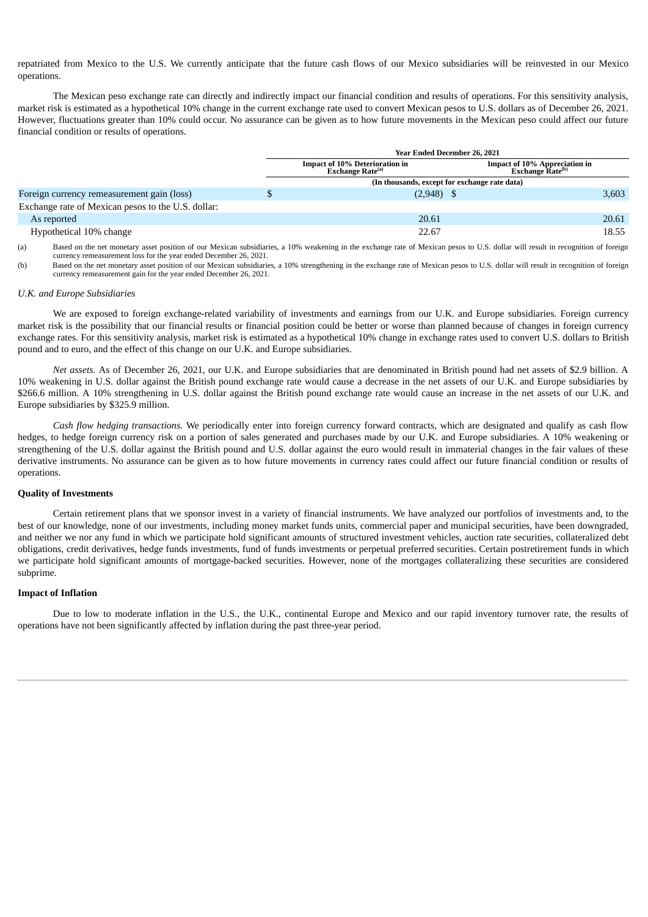repatriated from Mexico to the U.S. We currently anticipate that the future cash flows of our Mexico subsidiaries will be reinvested in our Mexico operations.

The Mexican peso exchange rate can directly and indirectly impact our financial condition and results of operations. For this sensitivity analysis, market risk is estimated as a hypothetical 10% change in the current exchange rate used to convert Mexican pesos to U.S. dollars as of December 26, 2021. However, fluctuations greater than 10% could occur. No assurance can be given as to how future movements in the Mexican peso could affect our future financial condition or results of operations.

|                                                    | Year Ended December 26, 2021                                                |                                                                      |       |  |
|----------------------------------------------------|-----------------------------------------------------------------------------|----------------------------------------------------------------------|-------|--|
|                                                    | <b>Impact of 10% Deterioration in</b><br><b>Exchange Rate<sup>(a)</sup></b> | <b>Impact of 10% Appreciation in</b><br>Exchange Rate <sup>(b)</sup> |       |  |
|                                                    | (In thousands, except for exchange rate data)                               |                                                                      |       |  |
| Foreign currency remeasurement gain (loss)         | $(2,948)$ \$                                                                |                                                                      | 3,603 |  |
| Exchange rate of Mexican pesos to the U.S. dollar: |                                                                             |                                                                      |       |  |
| As reported                                        | 20.61                                                                       |                                                                      | 20.61 |  |
| Hypothetical 10% change                            | 22.67                                                                       |                                                                      | 18.55 |  |

(a) Based on the net monetary asset position of our Mexican subsidiaries, a 10% weakening in the exchange rate of Mexican pesos to U.S. dollar will result in recognition of foreign currency remeasurement loss for the year ended December 26, 2021.

(b) Based on the net monetary asset position of our Mexican subsidiaries, a 10% strengthening in the exchange rate of Mexican pesos to U.S. dollar will result in recognition of foreign currency remeasurement gain for the year ended December 26, 2021.

#### *U.K. and Europe Subsidiaries*

We are exposed to foreign exchange-related variability of investments and earnings from our U.K. and Europe subsidiaries. Foreign currency market risk is the possibility that our financial results or financial position could be better or worse than planned because of changes in foreign currency exchange rates. For this sensitivity analysis, market risk is estimated as a hypothetical 10% change in exchange rates used to convert U.S. dollars to British pound and to euro, and the effect of this change on our U.K. and Europe subsidiaries.

*Net assets.* As of December 26, 2021, our U.K. and Europe subsidiaries that are denominated in British pound had net assets of \$2.9 billion. A 10% weakening in U.S. dollar against the British pound exchange rate would cause a decrease in the net assets of our U.K. and Europe subsidiaries by \$266.6 million. A 10% strengthening in U.S. dollar against the British pound exchange rate would cause an increase in the net assets of our U.K. and Europe subsidiaries by \$325.9 million.

*Cash flow hedging transactions.* We periodically enter into foreign currency forward contracts, which are designated and qualify as cash flow hedges, to hedge foreign currency risk on a portion of sales generated and purchases made by our U.K. and Europe subsidiaries. A 10% weakening or strengthening of the U.S. dollar against the British pound and U.S. dollar against the euro would result in immaterial changes in the fair values of these derivative instruments. No assurance can be given as to how future movements in currency rates could affect our future financial condition or results of operations.

### **Quality of Investments**

Certain retirement plans that we sponsor invest in a variety of financial instruments. We have analyzed our portfolios of investments and, to the best of our knowledge, none of our investments, including money market funds units, commercial paper and municipal securities, have been downgraded, and neither we nor any fund in which we participate hold significant amounts of structured investment vehicles, auction rate securities, collateralized debt obligations, credit derivatives, hedge funds investments, fund of funds investments or perpetual preferred securities. Certain postretirement funds in which we participate hold significant amounts of mortgage-backed securities. However, none of the mortgages collateralizing these securities are considered subprime.

### **Impact of Inflation**

Due to low to moderate inflation in the U.S., the U.K., continental Europe and Mexico and our rapid inventory turnover rate, the results of operations have not been significantly affected by inflation during the past three-year period.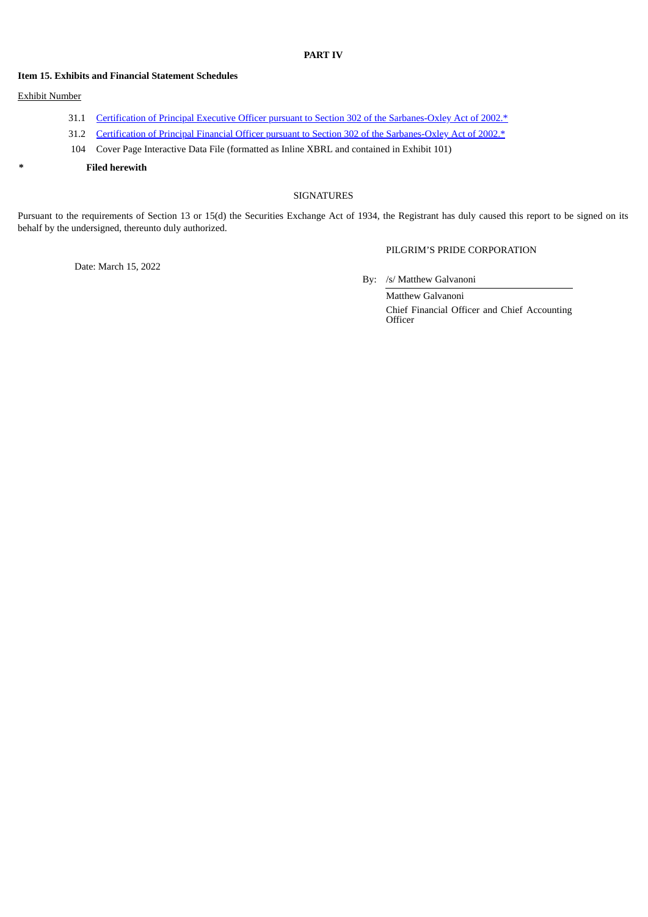# **PART IV**

### **Item 15. Exhibits and Financial Statement Schedules**

# Exhibit Number

- 31.1 Certification of Principal Executive Officer pursuant to Section 302 of the [Sarbanes-Oxley](#page-5-0) Act of 2002.\*
- 31.2 Certification of Principal Financial Officer pursuant to Section 302 of the [Sarbanes-Oxley](#page-6-0) Act of 2002.\*
- 104 Cover Page Interactive Data File (formatted as Inline XBRL and contained in Exhibit 101)
- **\* Filed herewith**

### SIGNATURES

Pursuant to the requirements of Section 13 or 15(d) the Securities Exchange Act of 1934, the Registrant has duly caused this report to be signed on its behalf by the undersigned, thereunto duly authorized.

Date: March 15, 2022

By: /s/ Matthew Galvanoni

PILGRIM'S PRIDE CORPORATION

Matthew Galvanoni Chief Financial Officer and Chief Accounting **Officer**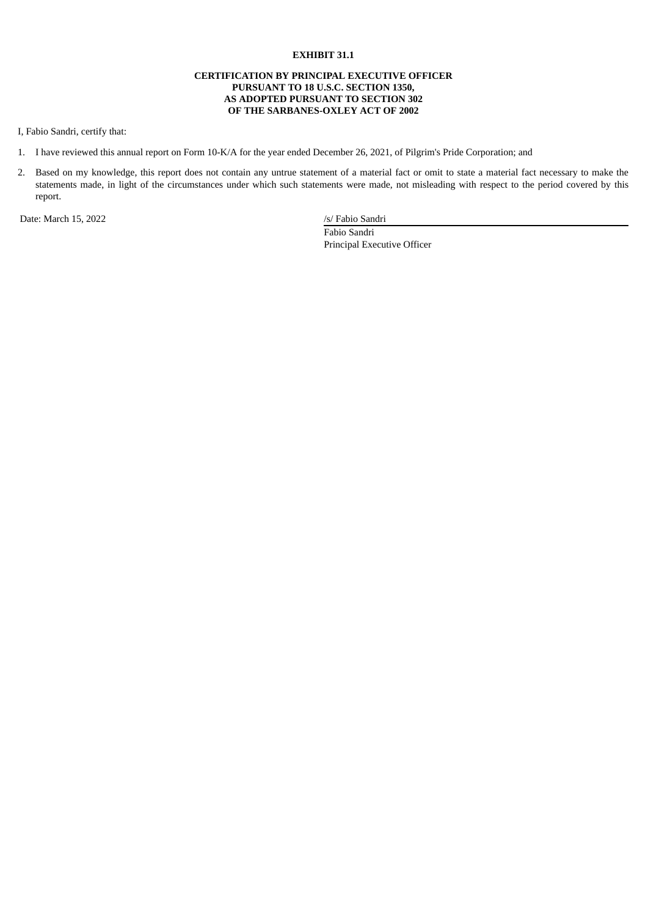# **EXHIBIT 31.1**

### **CERTIFICATION BY PRINCIPAL EXECUTIVE OFFICER PURSUANT TO 18 U.S.C. SECTION 1350, AS ADOPTED PURSUANT TO SECTION 302 OF THE SARBANES-OXLEY ACT OF 2002**

<span id="page-5-0"></span>I, Fabio Sandri, certify that:

- 1. I have reviewed this annual report on Form 10-K/A for the year ended December 26, 2021, of Pilgrim's Pride Corporation; and
- 2. Based on my knowledge, this report does not contain any untrue statement of a material fact or omit to state a material fact necessary to make the statements made, in light of the circumstances under which such statements were made, not misleading with respect to the period covered by this report.

Date: March 15, 2022 /s/ Fabio Sandri

Fabio Sandri Principal Executive Officer